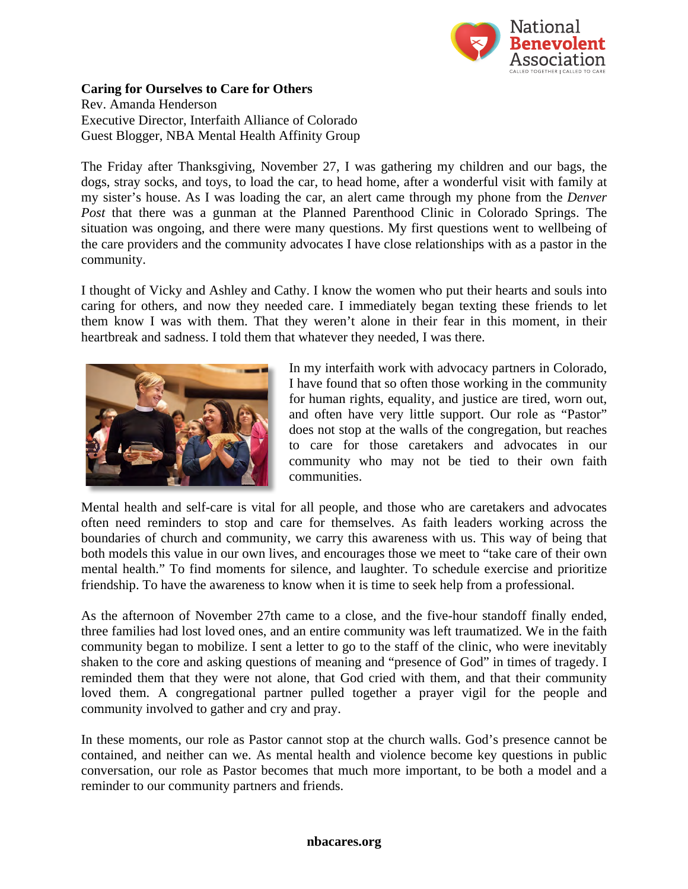

## **Caring for Ourselves to Care for Others** Rev. Amanda Henderson

Executive Director, Interfaith Alliance of Colorado Guest Blogger, NBA Mental Health Affinity Group

The Friday after Thanksgiving, November 27, I was gathering my children and our bags, the dogs, stray socks, and toys, to load the car, to head home, after a wonderful visit with family at my sister's house. As I was loading the car, an alert came through my phone from the *Denver Post* that there was a gunman at the Planned Parenthood Clinic in Colorado Springs. The situation was ongoing, and there were many questions. My first questions went to wellbeing of the care providers and the community advocates I have close relationships with as a pastor in the community.

I thought of Vicky and Ashley and Cathy. I know the women who put their hearts and souls into caring for others, and now they needed care. I immediately began texting these friends to let them know I was with them. That they weren't alone in their fear in this moment, in their heartbreak and sadness. I told them that whatever they needed, I was there.



In my interfaith work with advocacy partners in Colorado, I have found that so often those working in the community for human rights, equality, and justice are tired, worn out, and often have very little support. Our role as "Pastor" does not stop at the walls of the congregation, but reaches to care for those caretakers and advocates in our community who may not be tied to their own faith communities.

Mental health and self-care is vital for all people, and those who are caretakers and advocates often need reminders to stop and care for themselves. As faith leaders working across the boundaries of church and community, we carry this awareness with us. This way of being that both models this value in our own lives, and encourages those we meet to "take care of their own mental health." To find moments for silence, and laughter. To schedule exercise and prioritize friendship. To have the awareness to know when it is time to seek help from a professional.

As the afternoon of November 27th came to a close, and the five-hour standoff finally ended, three families had lost loved ones, and an entire community was left traumatized. We in the faith community began to mobilize. I sent a letter to go to the staff of the clinic, who were inevitably shaken to the core and asking questions of meaning and "presence of God" in times of tragedy. I reminded them that they were not alone, that God cried with them, and that their community loved them. A congregational partner pulled together a prayer vigil for the people and community involved to gather and cry and pray.

In these moments, our role as Pastor cannot stop at the church walls. God's presence cannot be contained, and neither can we. As mental health and violence become key questions in public conversation, our role as Pastor becomes that much more important, to be both a model and a reminder to our community partners and friends.